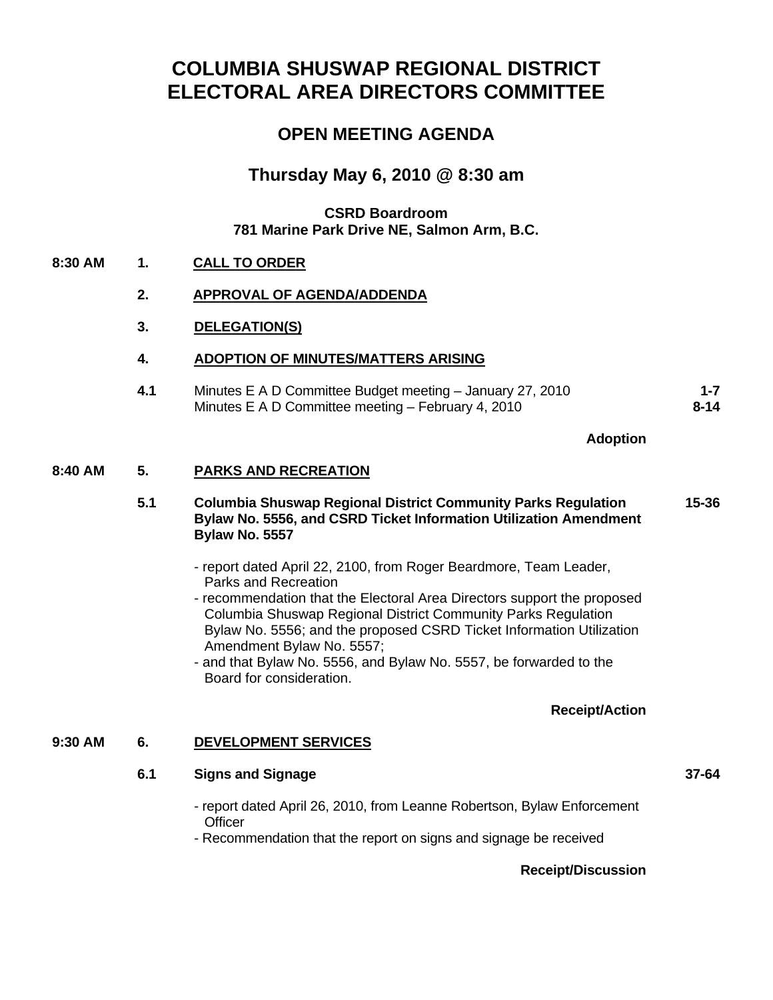# **COLUMBIA SHUSWAP REGIONAL DISTRICT ELECTORAL AREA DIRECTORS COMMITTEE**

## **OPEN MEETING AGENDA**

## **Thursday May 6, 2010 @ 8:30 am**

#### **CSRD Boardroom 781 Marine Park Drive NE, Salmon Arm, B.C.**

#### **8:30 AM 1. CALL TO ORDER**

#### **2. APPROVAL OF AGENDA/ADDENDA**

#### **3. DELEGATION(S)**

#### **4. ADOPTION OF MINUTES/MATTERS ARISING**

**4.1** Minutes E A D Committee Budget meeting – January 27, 2010 Minutes E A D Committee meeting – February 4, 2010 **1-7 [8-14](http://csrd.civicweb.net/Documents/DocumentDisplay.aspx?ID=3273)**

#### **Adoption**

#### **8:40 AM 5. PARKS AND RECREATION**

- **5.1 Columbia Shuswap Regional District Community Parks Regulation Bylaw No. 5556, and CSRD Ticket Information Utilization Amendment Bylaw No. 5557 [15-36](http://csrd.civicweb.net/Documents/DocumentDisplay.aspx?ID=3272)**
	- report dated April 22, 2100, from Roger Beardmore, Team Leader, Parks and Recreation
	- recommendation that the Electoral Area Directors support the proposed Columbia Shuswap Regional District Community Parks Regulation Bylaw No. 5556; and the proposed CSRD Ticket Information Utilization Amendment Bylaw No. 5557;
	- and that Bylaw No. 5556, and Bylaw No. 5557, be forwarded to the Board for consideration.

#### **Receipt/Action**

#### **9:30 AM 6. DEVELOPMENT SERVICES**

#### **6.1 Signs and Signage [37-64](http://csrd.civicweb.net/Documents/DocumentDisplay.aspx?ID=3271)**

- report dated April 26, 2010, from Leanne Robertson, Bylaw Enforcement **Officer**
- Recommendation that the report on signs and signage be received

#### **Receipt/Discussion**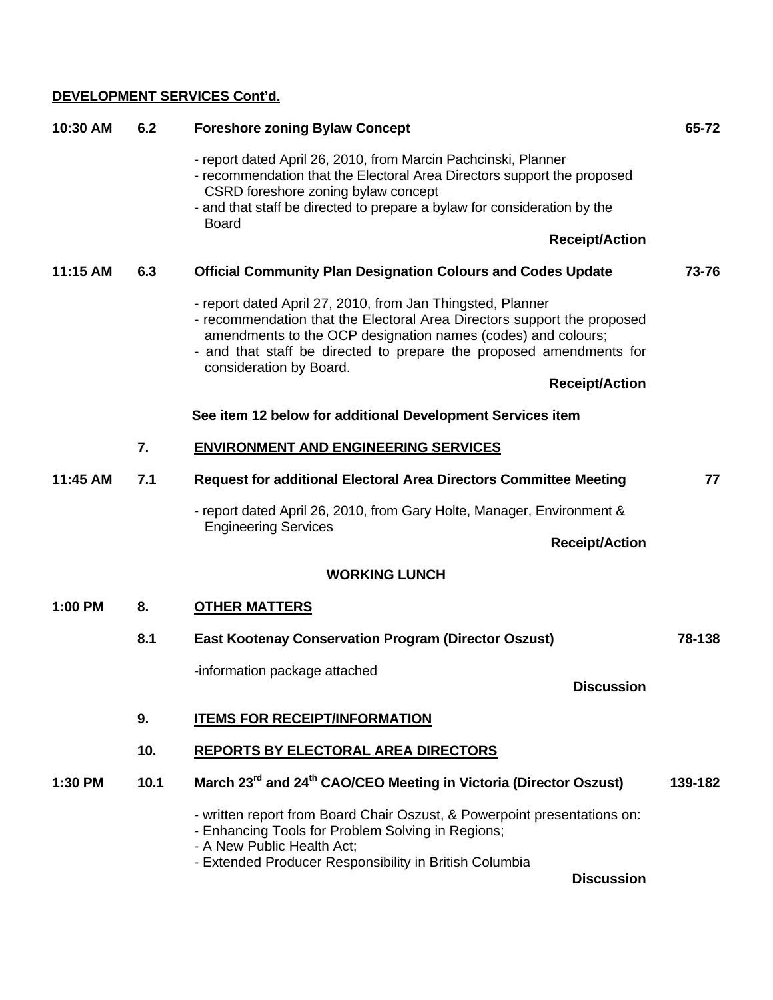## **DEVELOPMENT SERVICES Cont'd.**

| 10:30 AM | 6.2                  | <b>Foreshore zoning Bylaw Concept</b>                                                                                                                                                                                                                                                                                            | 65-72   |  |  |                                                            |
|----------|----------------------|----------------------------------------------------------------------------------------------------------------------------------------------------------------------------------------------------------------------------------------------------------------------------------------------------------------------------------|---------|--|--|------------------------------------------------------------|
|          |                      | - report dated April 26, 2010, from Marcin Pachcinski, Planner<br>- recommendation that the Electoral Area Directors support the proposed<br>CSRD foreshore zoning bylaw concept<br>- and that staff be directed to prepare a bylaw for consideration by the<br><b>Board</b><br><b>Receipt/Action</b>                            |         |  |  |                                                            |
|          |                      |                                                                                                                                                                                                                                                                                                                                  |         |  |  |                                                            |
| 11:15 AM | 6.3                  |                                                                                                                                                                                                                                                                                                                                  | 73-76   |  |  |                                                            |
|          |                      | <b>Official Community Plan Designation Colours and Codes Update</b>                                                                                                                                                                                                                                                              |         |  |  |                                                            |
|          |                      | - report dated April 27, 2010, from Jan Thingsted, Planner<br>- recommendation that the Electoral Area Directors support the proposed<br>amendments to the OCP designation names (codes) and colours;<br>- and that staff be directed to prepare the proposed amendments for<br>consideration by Board.<br><b>Receipt/Action</b> |         |  |  |                                                            |
|          |                      |                                                                                                                                                                                                                                                                                                                                  |         |  |  | See item 12 below for additional Development Services item |
|          | 7.                   | <b>ENVIRONMENT AND ENGINEERING SERVICES</b>                                                                                                                                                                                                                                                                                      |         |  |  |                                                            |
| 11:45 AM | 7.1                  | <b>Request for additional Electoral Area Directors Committee Meeting</b>                                                                                                                                                                                                                                                         | 77      |  |  |                                                            |
|          |                      | - report dated April 26, 2010, from Gary Holte, Manager, Environment &<br><b>Engineering Services</b><br><b>Receipt/Action</b>                                                                                                                                                                                                   |         |  |  |                                                            |
|          |                      |                                                                                                                                                                                                                                                                                                                                  |         |  |  |                                                            |
|          | <b>WORKING LUNCH</b> |                                                                                                                                                                                                                                                                                                                                  |         |  |  |                                                            |
| 1:00 PM  | 8.                   | <b>OTHER MATTERS</b>                                                                                                                                                                                                                                                                                                             |         |  |  |                                                            |
|          | 8.1                  | <b>East Kootenay Conservation Program (Director Oszust)</b>                                                                                                                                                                                                                                                                      | 78-138  |  |  |                                                            |
|          |                      | -information package attached                                                                                                                                                                                                                                                                                                    |         |  |  |                                                            |
|          |                      | <b>Discussion</b>                                                                                                                                                                                                                                                                                                                |         |  |  |                                                            |
|          | 9.                   | <b>ITEMS FOR RECEIPT/INFORMATION</b>                                                                                                                                                                                                                                                                                             |         |  |  |                                                            |
|          | 10.                  | <b>REPORTS BY ELECTORAL AREA DIRECTORS</b>                                                                                                                                                                                                                                                                                       |         |  |  |                                                            |
| 1:30 PM  | 10.1                 | March 23 <sup>rd</sup> and 24 <sup>th</sup> CAO/CEO Meeting in Victoria (Director Oszust)                                                                                                                                                                                                                                        | 139-182 |  |  |                                                            |
|          |                      | - written report from Board Chair Oszust, & Powerpoint presentations on:<br>- Enhancing Tools for Problem Solving in Regions;<br>- A New Public Health Act;<br>- Extended Producer Responsibility in British Columbia<br><b>Discussion</b>                                                                                       |         |  |  |                                                            |
|          |                      |                                                                                                                                                                                                                                                                                                                                  |         |  |  |                                                            |